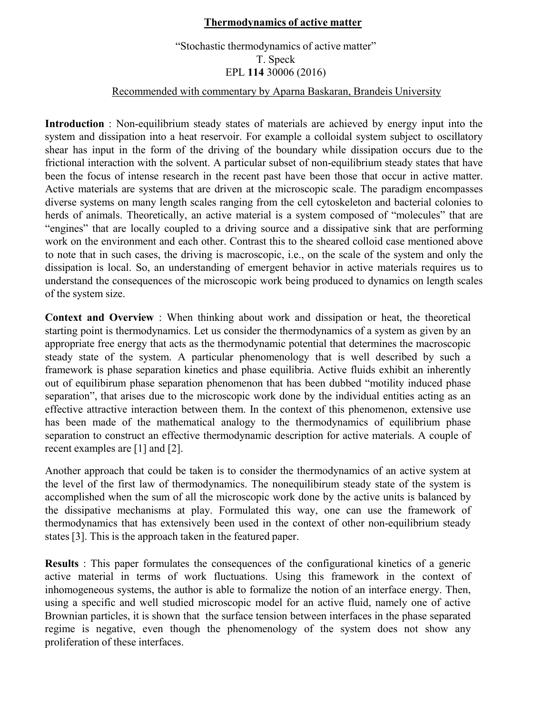## **Thermodynamics of active matter**

## "Stochastic thermodynamics of active matter" T. Speck EPL **114** 30006 (2016)

## Recommended with commentary by Aparna Baskaran, Brandeis University

**Introduction** : Non-equilibrium steady states of materials are achieved by energy input into the system and dissipation into a heat reservoir. For example a colloidal system subject to oscillatory shear has input in the form of the driving of the boundary while dissipation occurs due to the frictional interaction with the solvent. A particular subset of non-equilibrium steady states that have been the focus of intense research in the recent past have been those that occur in active matter. Active materials are systems that are driven at the microscopic scale. The paradigm encompasses diverse systems on many length scales ranging from the cell cytoskeleton and bacterial colonies to herds of animals. Theoretically, an active material is a system composed of "molecules" that are "engines" that are locally coupled to a driving source and a dissipative sink that are performing work on the environment and each other. Contrast this to the sheared colloid case mentioned above to note that in such cases, the driving is macroscopic, i.e., on the scale of the system and only the dissipation is local. So, an understanding of emergent behavior in active materials requires us to understand the consequences of the microscopic work being produced to dynamics on length scales of the system size.

**Context and Overview** : When thinking about work and dissipation or heat, the theoretical starting point is thermodynamics. Let us consider the thermodynamics of a system as given by an appropriate free energy that acts as the thermodynamic potential that determines the macroscopic steady state of the system. A particular phenomenology that is well described by such a framework is phase separation kinetics and phase equilibria. Active fluids exhibit an inherently out of equilibirum phase separation phenomenon that has been dubbed "motility induced phase separation", that arises due to the microscopic work done by the individual entities acting as an effective attractive interaction between them. In the context of this phenomenon, extensive use has been made of the mathematical analogy to the thermodynamics of equilibrium phase separation to construct an effective thermodynamic description for active materials. A couple of recent examples are [1] and [2].

Another approach that could be taken is to consider the thermodynamics of an active system at the level of the first law of thermodynamics. The nonequilibirum steady state of the system is accomplished when the sum of all the microscopic work done by the active units is balanced by the dissipative mechanisms at play. Formulated this way, one can use the framework of thermodynamics that has extensively been used in the context of other non-equilibrium steady states [3]. This is the approach taken in the featured paper.

**Results** : This paper formulates the consequences of the configurational kinetics of a generic active material in terms of work fluctuations. Using this framework in the context of inhomogeneous systems, the author is able to formalize the notion of an interface energy. Then, using a specific and well studied microscopic model for an active fluid, namely one of active Brownian particles, it is shown that the surface tension between interfaces in the phase separated regime is negative, even though the phenomenology of the system does not show any proliferation of these interfaces.